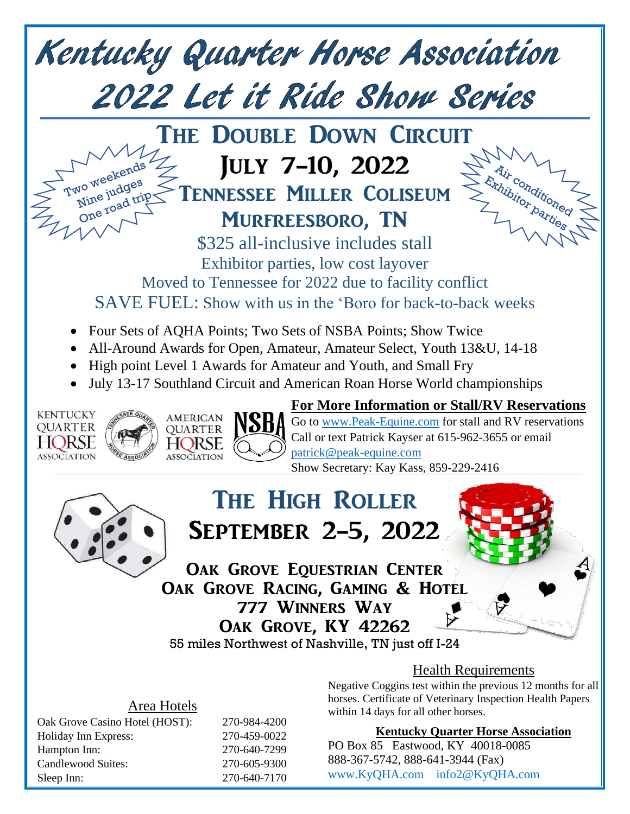

## Area Hotels

Oak Grove Casino Hotel (HOST): 270-984-4200 Holiday Inn Express: 270-459-0022 Hampton Inn: 270-640-7299 Candlewood Suites: 270-605-9300 Sleep Inn: 270-640-7170

Negative Coggins test within the previous 12 months for all horses. Certificate of Veterinary Inspection Health Papers within 14 days for all other horses.

## **Kentucky Quarter Horse Association**

PO Box 85 Eastwood, KY 40018-0085 888-367-5742, 888-641-3944 (Fax) [www.KyQHA.com](http://www.kyqha.com/) info2@KyQHA.com